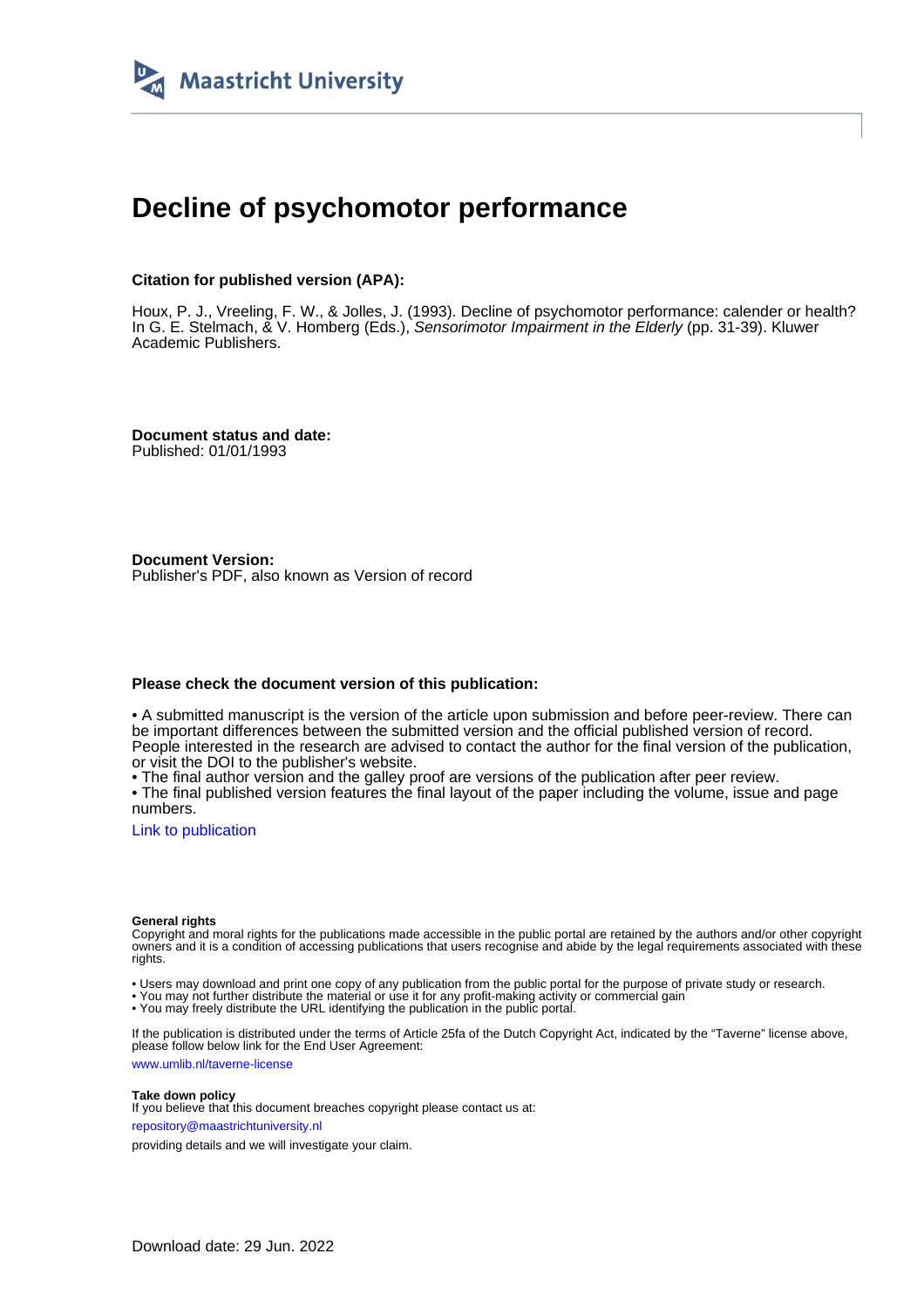

# **Decline of psychomotor performance**

# **Citation for published version (APA):**

Houx, P. J., Vreeling, F. W., & Jolles, J. (1993). Decline of psychomotor performance: calender or health? In G. E. Stelmach, & V. Homberg (Eds.), Sensorimotor Impairment in the Elderly (pp. 31-39). Kluwer Academic Publishers.

**Document status and date:** Published: 01/01/1993

**Document Version:** Publisher's PDF, also known as Version of record

### **Please check the document version of this publication:**

• A submitted manuscript is the version of the article upon submission and before peer-review. There can be important differences between the submitted version and the official published version of record. People interested in the research are advised to contact the author for the final version of the publication, or visit the DOI to the publisher's website.

• The final author version and the galley proof are versions of the publication after peer review.

• The final published version features the final layout of the paper including the volume, issue and page numbers.

[Link to publication](https://cris.maastrichtuniversity.nl/en/publications/a128dc12-a779-452f-9d0d-75bd1dd6c735)

### **General rights**

Copyright and moral rights for the publications made accessible in the public portal are retained by the authors and/or other copyright owners and it is a condition of accessing publications that users recognise and abide by the legal requirements associated with these rights.

• Users may download and print one copy of any publication from the public portal for the purpose of private study or research.

• You may not further distribute the material or use it for any profit-making activity or commercial gain

• You may freely distribute the URL identifying the publication in the public portal.

If the publication is distributed under the terms of Article 25fa of the Dutch Copyright Act, indicated by the "Taverne" license above, please follow below link for the End User Agreement:

www.umlib.nl/taverne-license

### **Take down policy**

If you believe that this document breaches copyright please contact us at: repository@maastrichtuniversity.nl

providing details and we will investigate your claim.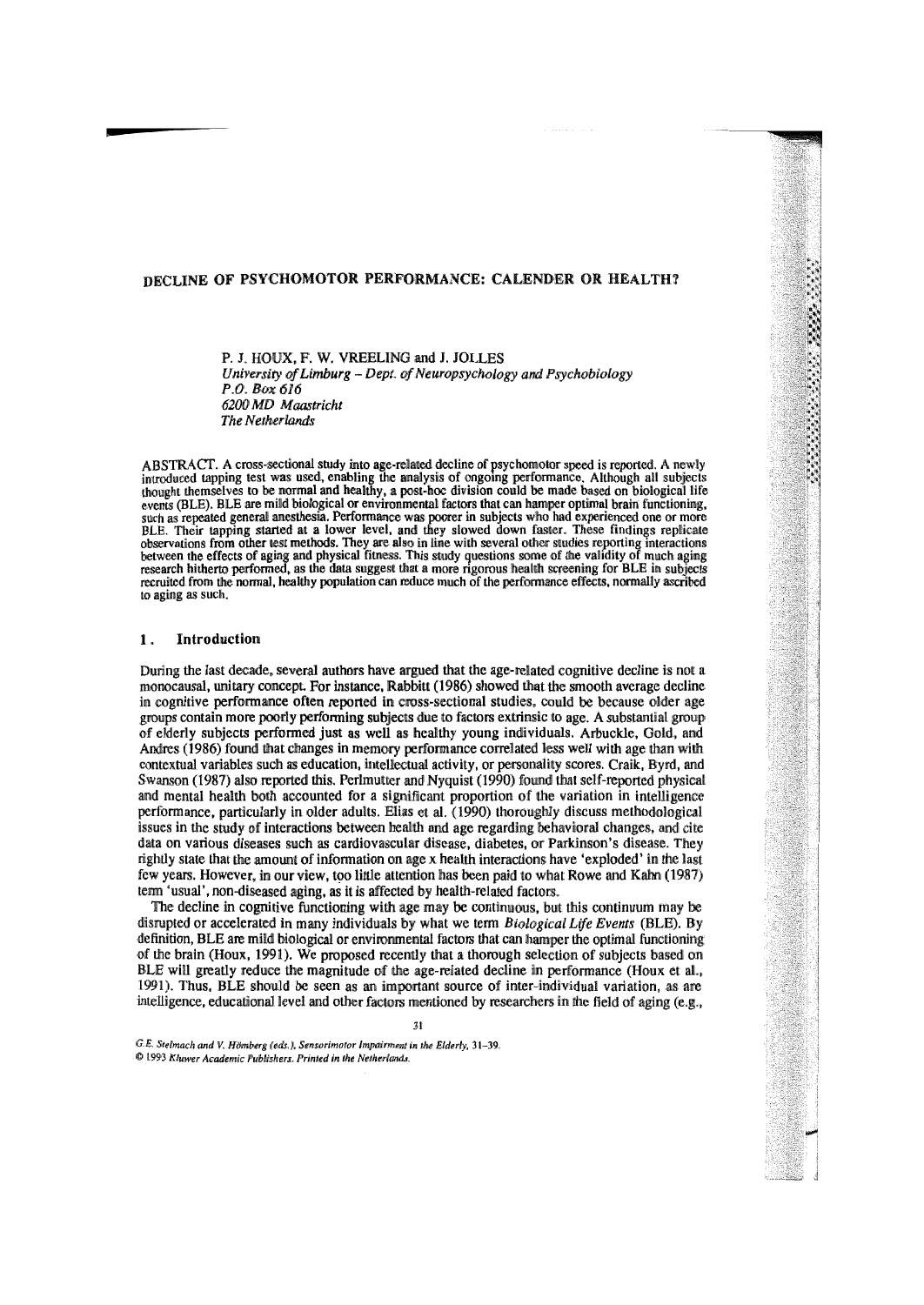# DECLINE OF PSYCHOMOTOR PERFORMANCE: CALENDER OR HEALTH?

P. J. HOUX, F. W. VREELING and J. JOLLES University of Limburg - Dept. of Neuropsychology and Psychobiology P.O. Box 616 6200 MD Maastricht The Netherlands

ABSTRACT. A cross-sectional study into age-related decline of psychomotor speed is reported. A newly introduced tapping test was used, enabling the analysis of ongoing performance. Although all subjects thought themselves to be normal and healthy, a post-hoc division could be made based on biological life events (BLE). BLE are mild biological or environmental factors that can hamper optimal brain functioning, such as repeated general anesthesia. Performance was poorer in subjects who had experienced one or more such as repeated general ansisters are retormance was poorer in subjects with that experienced one or more observations from other test allower level, and they slowed down faster. These findings replicate observations from recruited from the normal, healthy population can reduce much of the performance effects, normally ascribed to aging as such.

#### Introduction 1.

During the last decade, several authors have argued that the age-related cognitive decline is not a monocausal, unitary concept. For instance, Rabbitt (1986) showed that the smooth average decline in cognitive performance often reported in cross-sectional studies, could be because older age groups contain more poorly performing subjects due to factors extrinsic to age. A substantial group of elderly subjects performed just as well as healthy young individuals. Arbuckle, Gold, and Andres (1986) found that changes in memory performance correlated less well with age than with contextual variables such as education, intellectual activity, or personality scores, Craik, Byrd, and Swanson (1987) also reported this, Perlmutter and Nyquist (1990) found that self-reported physical and mental health both accounted for a significant proportion of the variation in intelligence performance, particularly in older adults. Elias et al. (1990) thoroughly discuss methodological issues in the study of interactions between health and age regarding behavioral changes, and cite data on various diseases such as cardiovascular disease, diabetes, or Parkinson's disease. They rightly state that the amount of information on age x health interactions have 'exploded' in the last few years. However, in our view, too little attention has been paid to what Rowe and Kahn (1987) term 'usual', non-diseased aging, as it is affected by health-related factors.

The decline in cognitive functioning with age may be continuous, but this continuum may be disrupted or accelerated in many individuals by what we term Biological Life Events (BLE). By definition, BLE are mild biological or environmental factors that can hamper the optimal functioning of the brain (Houx, 1991). We proposed recently that a thorough selection of subjects based on BLE will greatly reduce the magnitude of the age-related decline in performance (Houx et al., 1991). Thus, BLE should be seen as an important source of inter-individual variation, as are intelligence, educational level and other factors mentioned by researchers in the field of aging (e.g.,

G.E. Stelmach and V. Hömberg (eds.), Sensorimotor Impairment in the Elderly, 31-39. © 1993 Kluwer Academic Publishers. Printed in the Netherlands.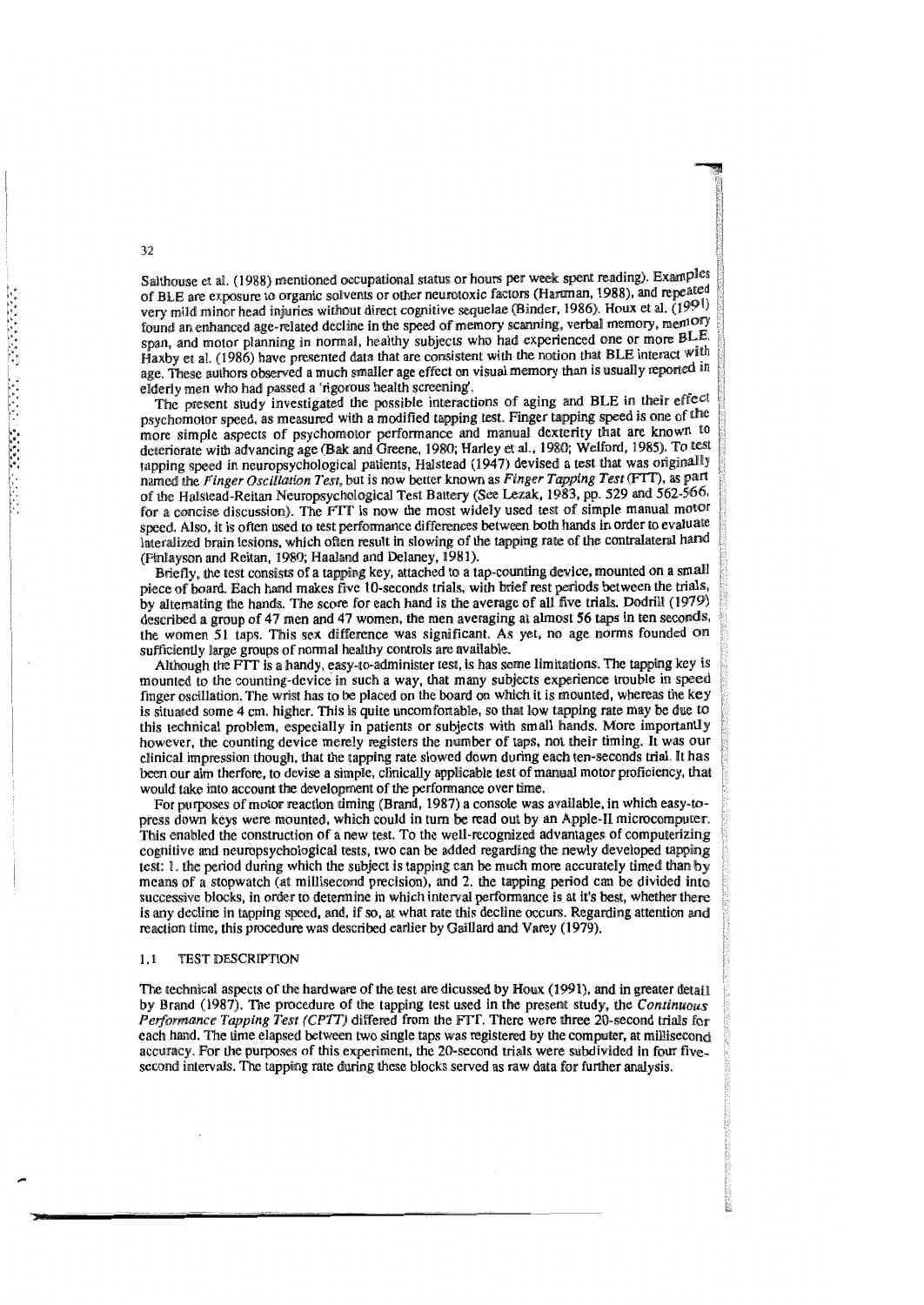Salthouse et al. (1988) mentioned occupational status or hours per week spent reading). Examples of BLE are exposure to organic solvents or other neurotoxic factors (Hartman, 1988), and repeated very mild minor head injuries without direct cognitive sequelae (Binder, 1986). Houx et al. (1991) found an enhanced age-related decline in the speed of memory scanning, verbal memory, memory span, and motor planning in normal, healthy subjects who had experienced one or more BLE Haxby et al. (1986) have presented data that are consistent with the notion that BLE interact with age. These authors observed a much smaller age effect on visual memory than is usually reported in elderly men who had passed a 'rigorous health screening'.

The present study investigated the possible interactions of aging and BLE in their effect psychomotor speed, as measured with a modified tapping test. Finger tapping speed is one of the more simple aspects of psychomotor performance and manual dexterity that are known to deteriorate with advancing age (Bak and Greene, 1980; Harley et al., 1980; Welford, 1985). To test tapping speed in neuropsychological patients. Halstead (1947) devised a test that was originally named the Finger Oscillation Test, but is now better known as Finger Tapping Test (FTT), as part of the Halstead-Reitan Neuropsychological Test Battery (See Lezak, 1983, pp. 529 and 562-566, for a concise discussion). The FTT is now the most widely used test of simple manual motor speed. Also, it is often used to test performance differences between both hands in order to evaluate lateralized brain lesions, which often result in slowing of the tapping rate of the contralateral hand (Finlayson and Reitan, 1980; Haaland and Delaney, 1981).

Briefly, the test consists of a tapping key, attached to a tap-counting device, mounted on a small piece of board. Each hand makes five 10-seconds trials, with brief rest periods between the trials, by alternating the hands. The score for each hand is the average of all five trials. Dodrill (1979) described a group of 47 men and 47 women, the men averaging at almost 56 taps in ten seconds, the women 51 taps. This sex difference was significant. As yet, no age norms founded on sufficiently large groups of normal healthy controls are available.

Although the FTT is a handy, easy-to-administer test, is has some limitations. The tapping key is mounted to the counting-device in such a way, that many subjects experience trouble in speed finger oscillation. The wrist has to be placed on the board on which it is mounted, whereas the key is situated some 4 cm. higher. This is quite uncomfortable, so that low tapping rate may be due to this technical problem, especially in patients or subjects with small hands. More importantly however, the counting device merely registers the number of taps, not their timing. It was our clinical impression though, that the tapping rate slowed down during each ten-seconds trial. It has been our aim therfore, to devise a simple, clinically applicable test of manual motor proficiency, that would take into account the development of the performance over time.

For purposes of motor reaction timing (Brand, 1987) a console was available, in which easy-topress down keys were mounted, which could in turn be read out by an Apple-II microcomputer. This enabled the construction of a new test. To the well-recognized advantages of computerizing cognitive and neuropsychological tests, two can be added regarding the newly developed tapping test: 1. the period during which the subject is tapping can be much more accurately timed than by means of a stopwatch (at millisecond precision), and 2, the tapping period can be divided into successive blocks, in order to determine in which interval performance is at it's best, whether there is any decline in tapping speed, and, if so, at what rate this decline occurs. Regarding attention and reaction time, this procedure was described earlier by Gaillard and Varey (1979).

#### $1.1$ **TEST DESCRIPTION**

The technical aspects of the hardware of the test are dicussed by Houx (1991), and in greater detail by Brand (1987). The procedure of the tapping test used in the present study, the Continuous Performance Tapping Test (CPTT) differed from the FTT. There were three 20-second trials for each hand. The time elapsed between two single taps was registered by the computer, at millisecond accuracv. For the purposes of this experiment, the 20-second trials were subdivided in four fivesecond intervals. The tapping rate during these blocks served as raw data for further analysis.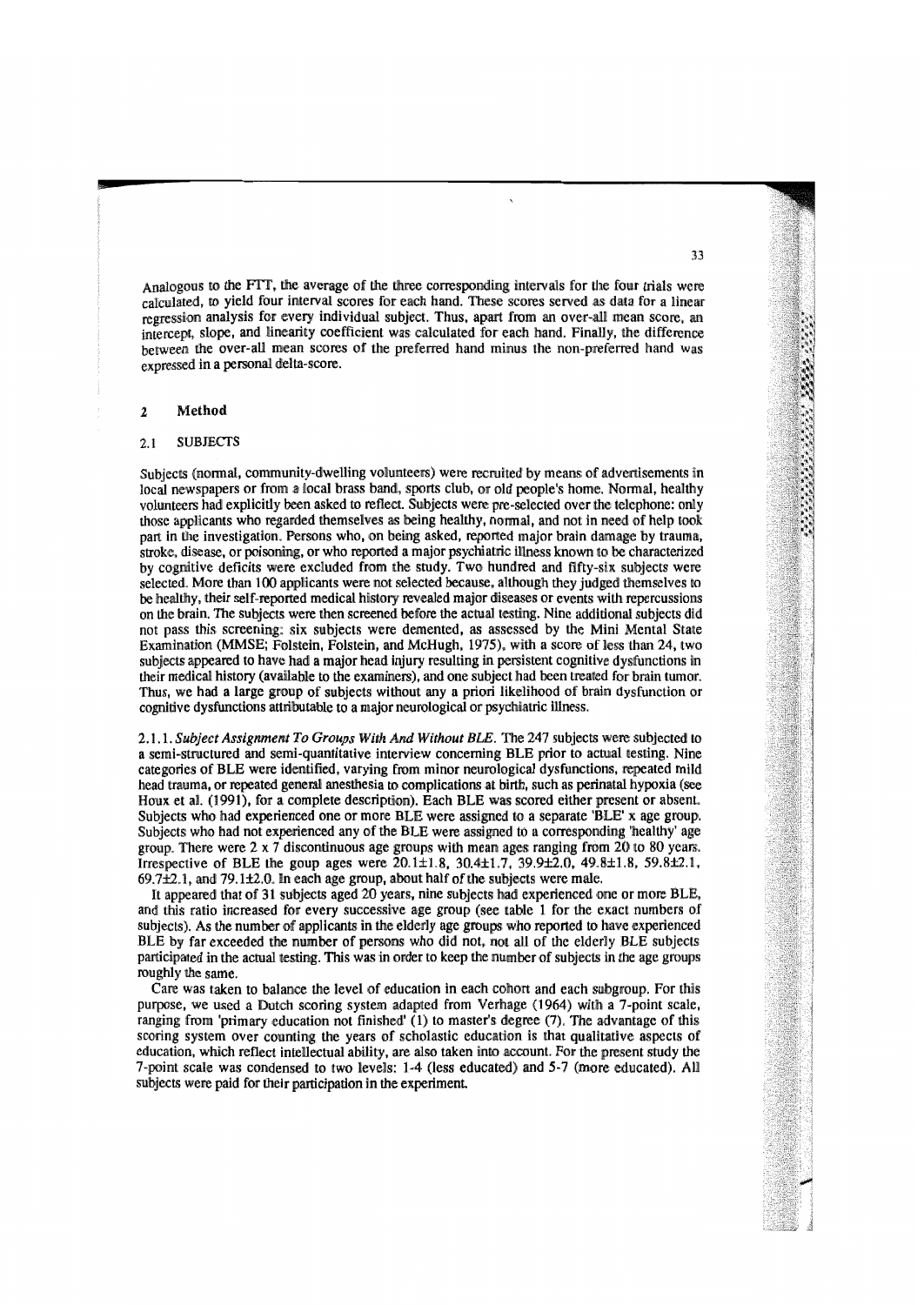Analogous to the FTT, the average of the three corresponding intervals for the four trials were calculated, to yield four interval scores for each hand. These scores served as data for a linear regression analysis for every individual subject. Thus, apart from an over-all mean score, an intercept, slope, and linearity coefficient was calculated for each hand. Finally, the difference hetween the over-all mean scores of the preferred hand minus the non-preferred hand was expressed in a personal delta-score.

#### Method  $\mathbf{2}$

#### $2.1$ **SUBJECTS**

Subjects (normal, community-dwelling volunteers) were recruited by means of advertisements in local newspapers or from a local brass band, sports club, or old people's home. Normal, healthy volunteers had explicitly been asked to reflect. Subjects were pre-selected over the telephone: only those applicants who regarded themselves as being healthy, normal, and not in need of help took part in the investigation. Persons who, on being asked, reported major brain damage by trauma. stroke, disease, or poisoning, or who reported a major psychiatric illness known to be characterized by cognitive deficits were excluded from the study. Two hundred and fifty-six subjects were selected. More than 100 applicants were not selected because, although they judged themselves to be healthy, their self-reported medical history revealed major diseases or events with repercussions on the brain. The subjects were then screened before the actual testing. Nine additional subjects did not pass this screening: six subjects were demented, as assessed by the Mini Mental State Examination (MMSE; Folstein, Folstein, and McHugh, 1975), with a score of less than 24, two subjects appeared to have had a major head injury resulting in persistent cognitive dysfunctions in their medical history (available to the examiners), and one subject had been treated for brain tumor. Thus, we had a large group of subjects without any a priori likelihood of brain dysfunction or cognitive dysfunctions attributable to a major neurological or psychiatric illness.

2.1.1. Subject Assignment To Groups With And Without BLE. The 247 subjects were subjected to a semi-structured and semi-quantitative interview concerning BLE prior to actual testing. Nine categories of BLE were identified, varying from minor neurological dysfunctions, repeated mild head trauma, or repeated general anesthesia to complications at birth, such as perinatal hypoxia (see Houx et al. (1991), for a complete description). Each BLE was scored either present or absent. Subjects who had experienced one or more BLE were assigned to a separate 'BLE' x age group. Subjects who had not experienced any of the BLE were assigned to a corresponding 'healthy' age group. There were  $2 \times 7$  discontinuous age groups with mean ages ranging from  $20$  to 80 years. Irrespective of BLE the goup ages were 20.1±1.8, 30.4±1.7, 39.9±2.0, 49.8±1.8, 59.8±2.1, 69.7±2.1, and 79.1±2.0. In each age group, about half of the subjects were male.

It appeared that of 31 subjects aged 20 years, nine subjects had experienced one or more BLE, and this ratio increased for every successive age group (see table 1 for the exact numbers of subjects). As the number of applicants in the elderly age groups who reported to have experienced BLE by far exceeded the number of persons who did not, not all of the elderly BLE subjects participated in the actual testing. This was in order to keep the number of subjects in the age groups roughly the same.

Care was taken to balance the level of education in each cohort and each subgroup. For this purpose, we used a Dutch scoring system adapted from Verhage (1964) with a 7-point scale, ranging from 'primary education not finished'  $(1)$  to master's degree (7). The advantage of this scoring system over counting the years of scholastic education is that qualitative aspects of education, which reflect intellectual ability, are also taken into account. For the present study the 7-point scale was condensed to two levels: 1-4 (less educated) and 5-7 (more educated). All subjects were paid for their participation in the experiment.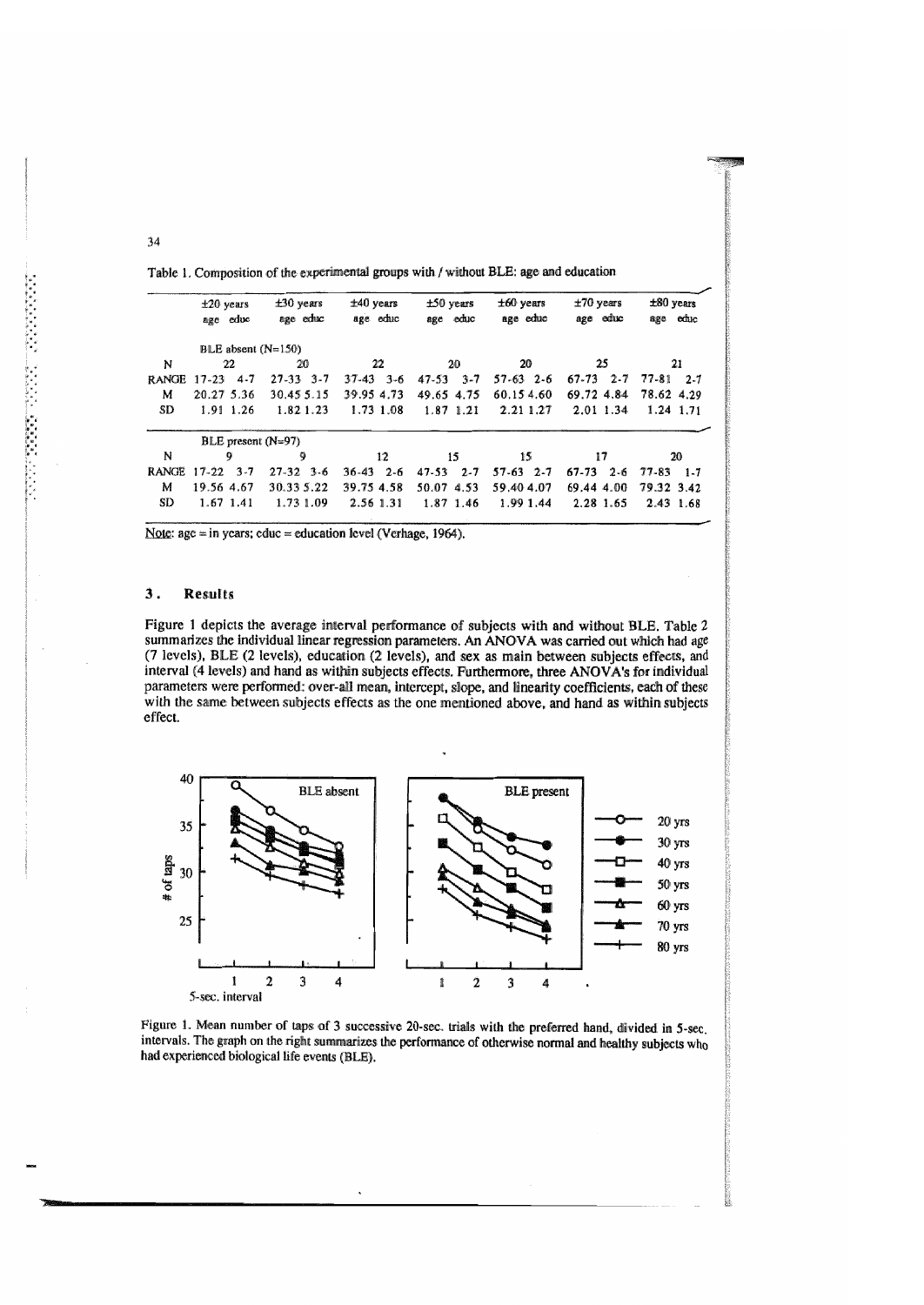|              | $±20$ years            | $±30$ years | $±40$ years   | $±50$ years | $±60$ years | $±70$ years           | $±80$ years       |  |
|--------------|------------------------|-------------|---------------|-------------|-------------|-----------------------|-------------------|--|
|              | age educ               | age educ    | age educ      | age educ    | age educ    | age educ              | age educ          |  |
|              | BLE absent $(N=150)$   |             |               |             |             |                       |                   |  |
| N            | 22                     | 20          | 22            | 20          | 20          | 25                    | 21                |  |
| <b>RANGE</b> | $17-23$ 4-7            | $27-33$ 3-7 | $37-43$ $3-6$ | $47-53$ 3-7 | $57-63$ 2-6 | $67-73$ 2.7           | $77-81$ 2-7       |  |
| м            | 20.27 5.36             | 30.45 5.15  | 39.95 4.73    | 49.65 4.75  | 60.154.60   | 69.72 4.84            | 78.62 4.29        |  |
| SD           | 1.91 1.26              | 1.82 1.23   | 1.73 1.08     | 1.87 1.21   | 2.21 1.27   | 2.01 1.34             | 1.24 1.71         |  |
|              | $BLE$ present $(N=97)$ |             |               |             |             |                       |                   |  |
| N            | Q                      | 9           | 12            | 15          | 15          | 17                    | 20                |  |
|              | RANGE 17-22 3-7        | $27-32$ 3.6 | $36-43$ 2-6   | $47-53$ 2-7 | $57-63$ 2-7 | $67-73$ $2-6$ $77-83$ | $1 - 7$           |  |
| м            | 19.56 4.67             | 30.33 5.22  | 39.75 4.58    | 50.07 4.53  | 59.40 4.07  | 69.44 4.00            | 79.32 3.42        |  |
| SD           | 1.67 1.41              | 1.73 1.09   | 2.56 1.31     | 1.87 1.46   | 1.99 1.44   | 2.28 1.65             | $2.43 \quad 1.68$ |  |

Note: age = in years; educ = education level (Verhage, 1964).

#### 3. **Results**

34

Figure 1 depicts the average interval performance of subjects with and without BLE. Table 2 summarizes the individual linear regression parameters. An ANOVA was carried out which had age (7 levels), BLE (2 levels), education (2 levels), and sex as main between subjects effects, and interval (4 levels) and hand as within subjects effects. Furthermore, three ANOVA's for individual parameters were performed: over-all mean, intercept, slope, and linearity coefficients, each of these with the same between subjects effects as the one mentioned above, and hand as within subjects effect.



Figure 1. Mean number of taps of 3 successive 20-sec. trials with the preferred hand, divided in 5-sec. intervals. The graph on the right summarizes the performance of otherwise normal and healthy subjects who had experienced biological life events (BLE).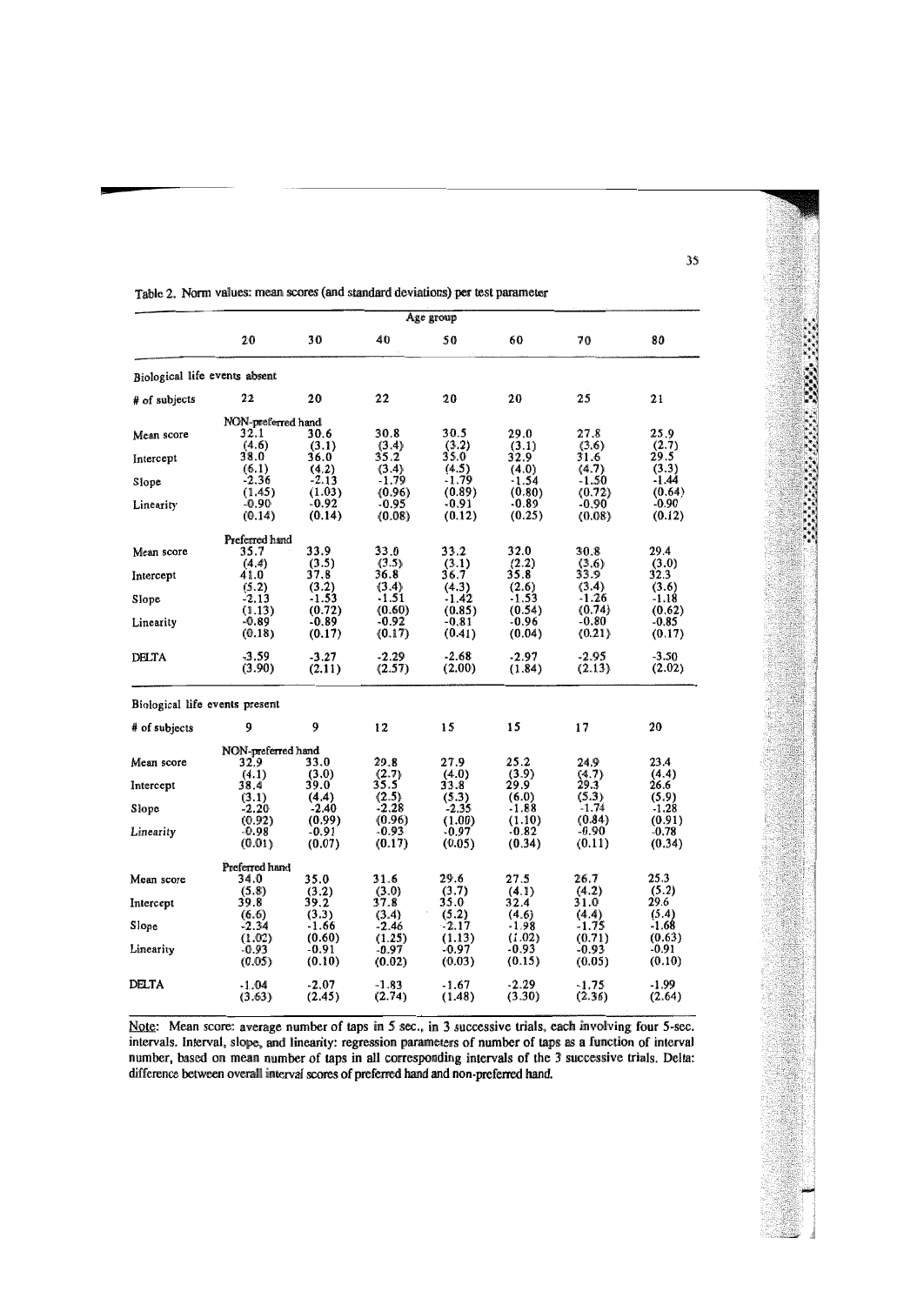|                                | Age group           |                   |                     |                   |                      |                   |                   |  |
|--------------------------------|---------------------|-------------------|---------------------|-------------------|----------------------|-------------------|-------------------|--|
|                                | 20                  | 30                | 40                  | 50                | 60                   | 70                | 80                |  |
| Biological life events absent  |                     |                   |                     |                   |                      |                   |                   |  |
| # of subjects                  | 22                  | 20                | 22                  | 20                | 20                   | 25                | 21                |  |
|                                | NON-preferred hand  |                   |                     |                   |                      |                   |                   |  |
| Mean score                     | 32.1                | 30.6              | 30.8                | 30.5              | 29.0                 | 27.8              | 25.9              |  |
|                                | (4.6)               | (3.1)             | (3.4)               | (3.2)             | (3.1)                | (3.6)             | (2.7)             |  |
| Intercept                      | 38.0<br>(6.1)       | 36.0<br>(4.2)     | 35.2<br>(3.4)       | 35.0<br>(4.5)     | 32.9<br>(4.0)        | 31.6<br>(4.7)     | 29.5<br>(3.3)     |  |
| Slope                          | $-2.36$             | $-2.13$           | $-1.79$             | $-1.79$           | $-1.54$              | $-1.50$           | -1.44             |  |
|                                | (1.45)              | (1.03)            | (0.96)              | (0.89)            | (0.80)               | (0.72)            | (0.64)            |  |
| Linearity                      | -0.90               | $-0.92$           | $-0.95$             | $-0.91$           | $-0.89$              | $-0.90$           | $-0.90$           |  |
|                                | (0.14)              | (0.14)            | (0.08)              | (0.12)            | (0.25)               | (0.08)            | (0.12)            |  |
|                                | Preferred hand      |                   |                     |                   |                      |                   |                   |  |
| Mean score                     | 35.7                | 33.9              | 33.0                | 33.2              | 32.0                 | 30.8              | 29.4              |  |
|                                | (4.4)               | (3.5)             | (3.5)               | (3.1)             | $\frac{(2.2)}{35.8}$ | (3.6)             | (3.0)             |  |
| Intercept                      | 41.0                | 37.8              | 36.8                | 36.7              |                      | 33.9              | 32.3              |  |
|                                | (5.2)               | (3.2)             | (3.4)               | (4.3)             | (2.6)                | (3.4)             | (3.6)             |  |
| Slope                          | $-2.13$<br>(1.13)   | $-1.53$<br>(0.72) | $-1.51$<br>(0.60)   | $-1.42$<br>(0.85) | $-1.53$<br>(0.54)    | $-1.26$<br>(0.74) | $-1.18$<br>(0.62) |  |
| Linearity                      | $-0.89$             | $-0.89$           | $-0.92$             | $-0.81$           | -0.96                | $-0.80$           | $-0.85$           |  |
|                                | (0.18)              | (0.17)            | (0.17)              | (0.41)            | (0.04)               | (0.21)            | (0.17)            |  |
| <b>DELTA</b>                   | $-3.59$             | $-3.27$           | $-2.29$             | $-2.68$           | $-2.97$              | $-2.95$           | $-3.50$           |  |
|                                | (3.90)              | (2.11)            | (2.57)              | (2.00)            | (1.84)               | (2.13)            | (2.02)            |  |
| Biological life events present |                     |                   |                     |                   |                      |                   |                   |  |
| # of subjects                  | 9                   | 9                 | 12                  | 15                | 15                   | 17                | 20                |  |
|                                | NON-preferred hand  |                   |                     |                   |                      |                   |                   |  |
| Mean score                     | 32.9                | 33.0              | 29.8                | 27.9              | 25.2                 | 24.9              | 23.4              |  |
|                                | (4.1)               | (3.0)             | (2.7)               | (4.0)             | (3.9)                | (4.7)             | (4.4)             |  |
| Intercept                      | 38.4                | 39.0              | 35.5                | 33.8              | 29.9                 | 29.3              | 26.6              |  |
| Slope                          | $\binom{3.1}{2.20}$ | (4.4)<br>$-2.40$  | $\binom{2.5}{2.28}$ | (5.3)<br>$-2.35$  | (6.0)<br>$-1.88$     | (5.3)<br>$-1,74$  | (5.9)<br>$-1.28$  |  |
|                                | (0.92)              | (0.99)            | (0.96)              | (1.00)            | (1.10)               | (0.84)            | (0.91)            |  |
| Linearity                      | $-0.98$             | $-0.91$           | $-0.93$             | -0.97             | $-0.82$              | $-0.90$           | $-0.78$           |  |
|                                | (0.01)              | (0.07)            | (0.17)              | (0.05)            | (0.34)               | (0.11)            | (0.34)            |  |
|                                | Preferred hand      |                   |                     |                   |                      |                   |                   |  |
| Mean score                     | 34.0                | 35.0              | 31.6                | 29.6              | 27.5                 | 26.7              | 25.3              |  |
|                                | (5.8)               | (3.2)             | (3.0)               | (3.7)             | (4.1)                | (4.2)             | (5.2)             |  |
| Intercept                      | 39.8                | 39.2              | 37.8                | $35.0^{6}$        | 32.4                 | 31.0              | 29.6              |  |
|                                | (6.6)               | (3.3)             | (3.4)               | (5.2)             | (4.6)                | (4.4)             | (5.4)             |  |
| Slope                          | $-2.34$             | $-1.66$           | $-2.46$             | $-2.17$           | $-1.98$              | $-1.75$           | $-1.68$           |  |
|                                | (1.02)              | (0.60)            | (1.25)              | (1.13)            | (1.02)               | (0.71)            | (0.63)            |  |
| Linearity                      | $-0.93$<br>(0.05)   | $-0.91$<br>(0.10) | -0.97<br>(0.02)     | -0.97<br>(0.03)   | -0.93<br>(0.15)      | $-0.93$<br>(0.05) | $-0.91$<br>(0.10) |  |
|                                |                     |                   |                     |                   |                      |                   |                   |  |
| <b>DELTA</b>                   | $-1.04$             | $-2.07$           | $-1.83$             | -1.67             | $-2.29$              | -1.75             | -1.99             |  |
|                                | (3.63)              | (2.45)            | (2.74)              | (1.48)            | (3.30)               | (2.36)            | (2.64)            |  |
|                                |                     |                   |                     |                   |                      |                   |                   |  |

## Table 2. Norm values: mean scores (and standard deviations) per test parameter

Note: Mean score: average number of taps in 5 sec., in 3 successive trials, each involving four 5-sec. intervals. Interval, slope, and linearity: regression parameters of number of taps as a function of interval number, based on mean number of taps in all corresponding intervals of the 3 successive trials. Delta: difference between overall interval scores of preferred hand and non-preferred hand.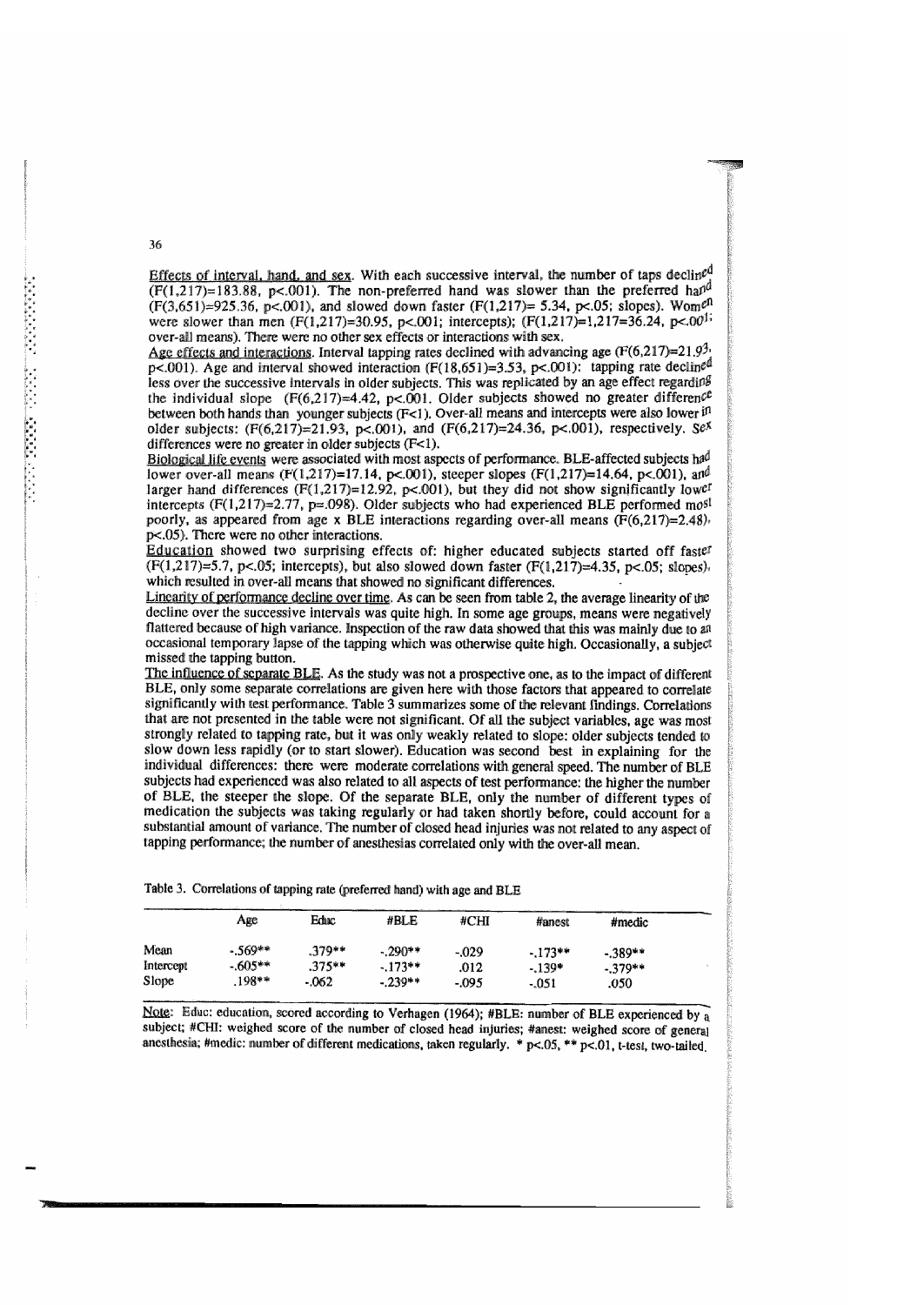Effects of interval, hand, and sex. With each successive interval, the number of taps declined  $(F(1,217)=183.88, p<.001)$ . The non-preferred hand was slower than the preferred happen  $(F(3.651)=925.36, p<0.001)$ , and slowed down faster  $(F(1.217)=5.34, p<0.05$ ; slopes). Women were slower than men (F(1,217)=30.95, p<.001; intercepts); (F(1,217)=1,217=36.24, p<.00<sup>1;</sup> over-all means). There were no other sex effects or interactions with sex.

Age effects and interactions. Interval tapping rates declined with advancing age (F(6,217)=21.9<sup>3</sup> p<.001). Age and interval showed interaction ( $F(18,651)=3.53$ , p<.001): tapping rate decline<sup>d</sup> less over the successive intervals in older subjects. This was replicated by an age effect regarding the individual slope (F(6,217)=4.42, p<.001. Older subjects showed no greater difference between both hands than younger subjects ( $F<1$ ). Over-all means and intercepts were also lower in older subjects: (F(6,217)=21,93, p<.001), and (F(6,217)=24.36, p<.001), respectively. Se<sup> $\chi$ </sup> differences were no greater in older subjects  $(F<1)$ .

Biological life events were associated with most aspects of performance. BLE-affected subjects had lower over-all means (F(1,217)=17.14, p<.001), steeper slopes (F(1,217)=14.64, p<.001), and larger hand differences  $(F(1.217)=12.92, p<0.001)$ , but they did not show significantly lower intercepts ( $F(1,217)=2.77$ ,  $p=.098$ ). Older subjects who had experienced BLE performed most poorly, as appeared from age x BLE interactions regarding over-all means  $(F(6.217)=2.48)$  $p<.05$ ). There were no other interactions.

Education showed two surprising effects of: higher educated subjects started off faster  $(F(1,217)=5.7, p<.05;$  intercepts), but also slowed down faster  $(F(1,217)=4.35, p<.05;$  slopes). which resulted in over-all means that showed no significant differences.

Linearity of performance decline over time. As can be seen from table 2, the average linearity of the decline over the successive intervals was quite high. In some age groups, means were negatively flattered because of high variance. Inspection of the raw data showed that this was mainly due to an occasional temporary lapse of the tapping which was otherwise quite high. Occasionally, a subject missed the tapping button.

The influence of separate BLE. As the study was not a prospective one, as to the impact of different BLE, only some separate correlations are given here with those factors that appeared to correlate significantly with test performance. Table 3 summarizes some of the relevant findings. Correlations that are not presented in the table were not significant. Of all the subject variables, age was most strongly related to tapping rate, but it was only weakly related to slope; older subjects tended to slow down less rapidly (or to start slower). Education was second best in explaining for the individual differences: there were moderate correlations with general speed. The number of BLE subjects had experienced was also related to all aspects of test performance; the higher the number of BLE, the steeper the slope. Of the separate BLE, only the number of different types of medication the subjects was taking regularly or had taken shortly before, could account for a substantial amount of variance. The number of closed head injuries was not related to any aspect of tapping performance; the number of anesthesias correlated only with the over-all mean.

|           | Age       | Educ     | #BLE      | #CHI     | #anest   | #medic   |  |
|-----------|-----------|----------|-----------|----------|----------|----------|--|
| Mean      | $-569**$  | $.379**$ | $-290**$  | $-0.029$ | $-173**$ | $-389**$ |  |
| Intercept | $-605**$  | $.375**$ | $-.173**$ | .012     | $-.139*$ | $-379**$ |  |
| Slope     | $.198***$ | $-062$   | $-239**$  | -.095    | $-.051$  | .050     |  |

Table 3. Correlations of tapping rate (preferred hand) with age and BLE

Note: Educ: education, scored according to Verhagen (1964); #BLE: number of BLE experienced by a subject; #CHI: weighed score of the number of closed head injuries; #anest: weighed score of general anesthesia; #medic: number of different medications, taken regularly. \*  $p<.05$ , \*\*  $p<.01$ , t-test, two-tailed.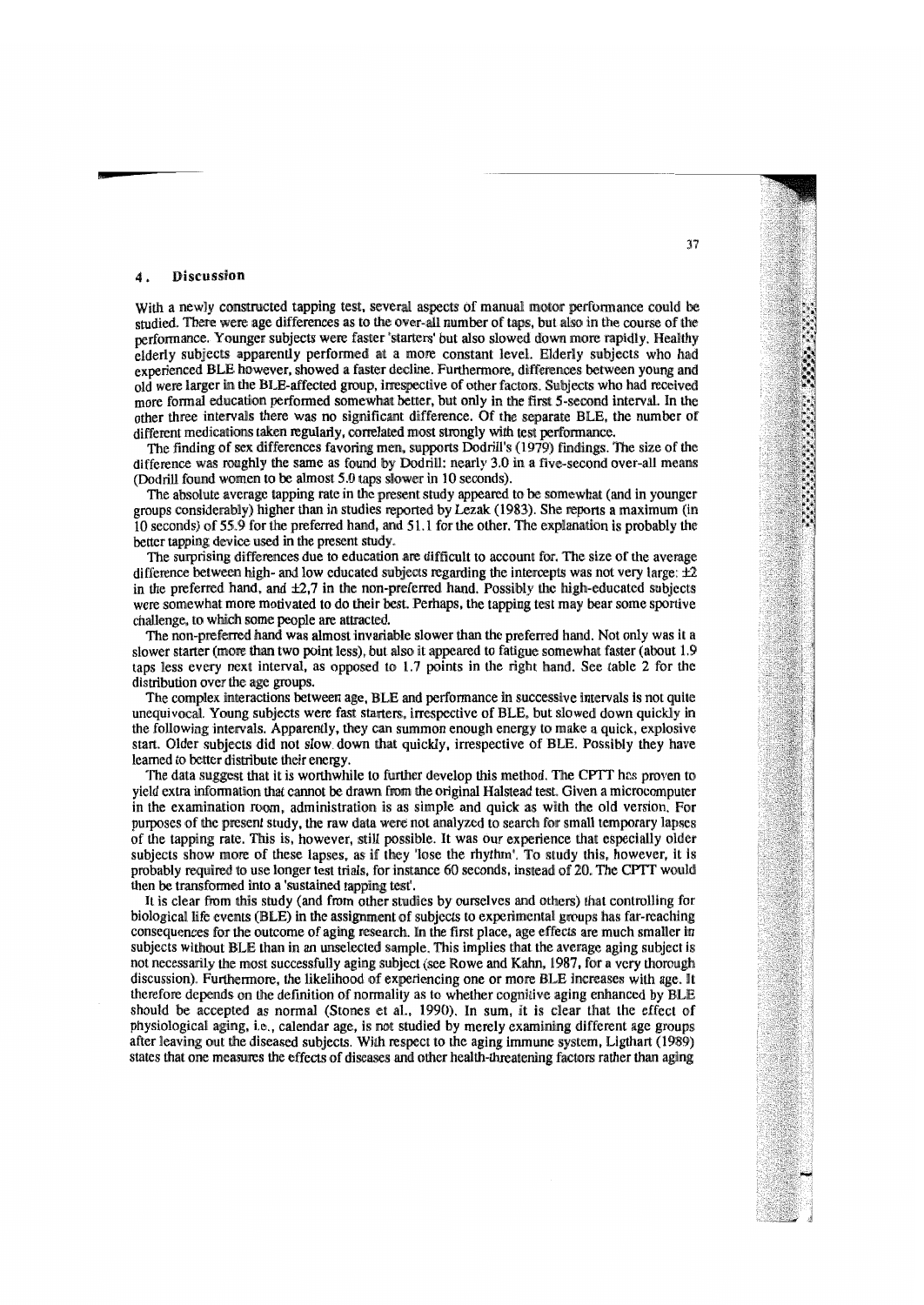#### Discussion 4.

With a newly constructed tapping test, several aspects of manual motor performance could be studied. There were age differences as to the over-all number of taps, but also in the course of the nerformance. Younger subjects were faster 'starters' but also slowed down more rapidly. Healthy elderly subjects apparently performed at a more constant level. Elderly subjects who had experienced BLE however, showed a faster decline. Furthermore, differences between young and old were larger in the BLE-affected group, irrespective of other factors. Subjects who had received more formal education performed somewhat better, but only in the first 5-second interval. In the other three intervals there was no significant difference. Of the separate BLE, the number of different medications taken regularly, correlated most strongly with test performance.

The finding of sex differences favoring men, supports Dodrill's (1979) findings. The size of the difference was roughly the same as found by Dodrill: nearly 3.0 in a five-second over-all means (Dodrill found women to be almost 5.0 taps slower in 10 seconds).

The absolute average tapping rate in the present study appeared to be somewhat (and in younger groups considerably) higher than in studies reported by Lezak (1983). She reports a maximum (in 10 seconds) of 55.9 for the preferred hand, and 51.1 for the other. The explanation is probably the better tapping device used in the present study.

The surprising differences due to education are difficult to account for. The size of the average difference between high- and low educated subjects regarding the intercepts was not very large:  $\pm 2$ in the preferred hand, and  $\pm 2.7$  in the non-preferred hand. Possibly the high-educated subjects were somewhat more motivated to do their best. Perhaps, the tapping test may bear some sportive challenge, to which some people are attracted.

The non-preferred hand was almost invariable slower than the preferred hand. Not only was it a slower starter (more than two point less), but also it appeared to fatigue somewhat faster (about 1.9 taps less every next interval, as opposed to 1.7 points in the right hand. See table 2 for the distribution over the age groups.

The complex interactions between age. BLE and performance in successive intervals is not quite unequivocal. Young subjects were fast starters, irrespective of BLE, but slowed down quickly in the following intervals. Apparently, they can summon enough energy to make a quick, explosive start. Older subjects did not slow down that quickly, irrespective of BLE. Possibly they have learned to better distribute their energy.

The data suggest that it is worthwhile to further develop this method. The CPTT has proven to vield extra information that cannot be drawn from the original Halstead test. Given a microcomputer in the examination room, administration is as simple and quick as with the old version. For purposes of the present study, the raw data were not analyzed to search for small temporary lapses of the tapping rate. This is, however, still possible. It was our experience that especially older subjects show more of these lapses, as if they 'lose the rhythm'. To study this, however, it is probably required to use longer test trials, for instance 60 seconds, instead of 20. The CPTT would then be transformed into a 'sustained tapping test'.

It is clear from this study (and from other studies by ourselves and others) that controlling for biological life events (BLE) in the assignment of subjects to experimental groups has far-reaching consequences for the outcome of aging research. In the first place, age effects are much smaller in subjects without BLE than in an unselected sample. This implies that the average aging subject is not necessarily the most successfully aging subject (see Rowe and Kahn, 1987, for a very thorough discussion). Furthermore, the likelihood of experiencing one or more BLE increases with age. It therefore depends on the definition of normality as to whether cognitive aging enhanced by BLE should be accepted as normal (Stones et al., 1990). In sum, it is clear that the effect of physiological aging, i.e., calendar age, is not studied by merely examining different age groups after leaving out the diseased subjects. With respect to the aging immune system, Ligthart (1989) states that one measures the effects of diseases and other health-threatening factors rather than aging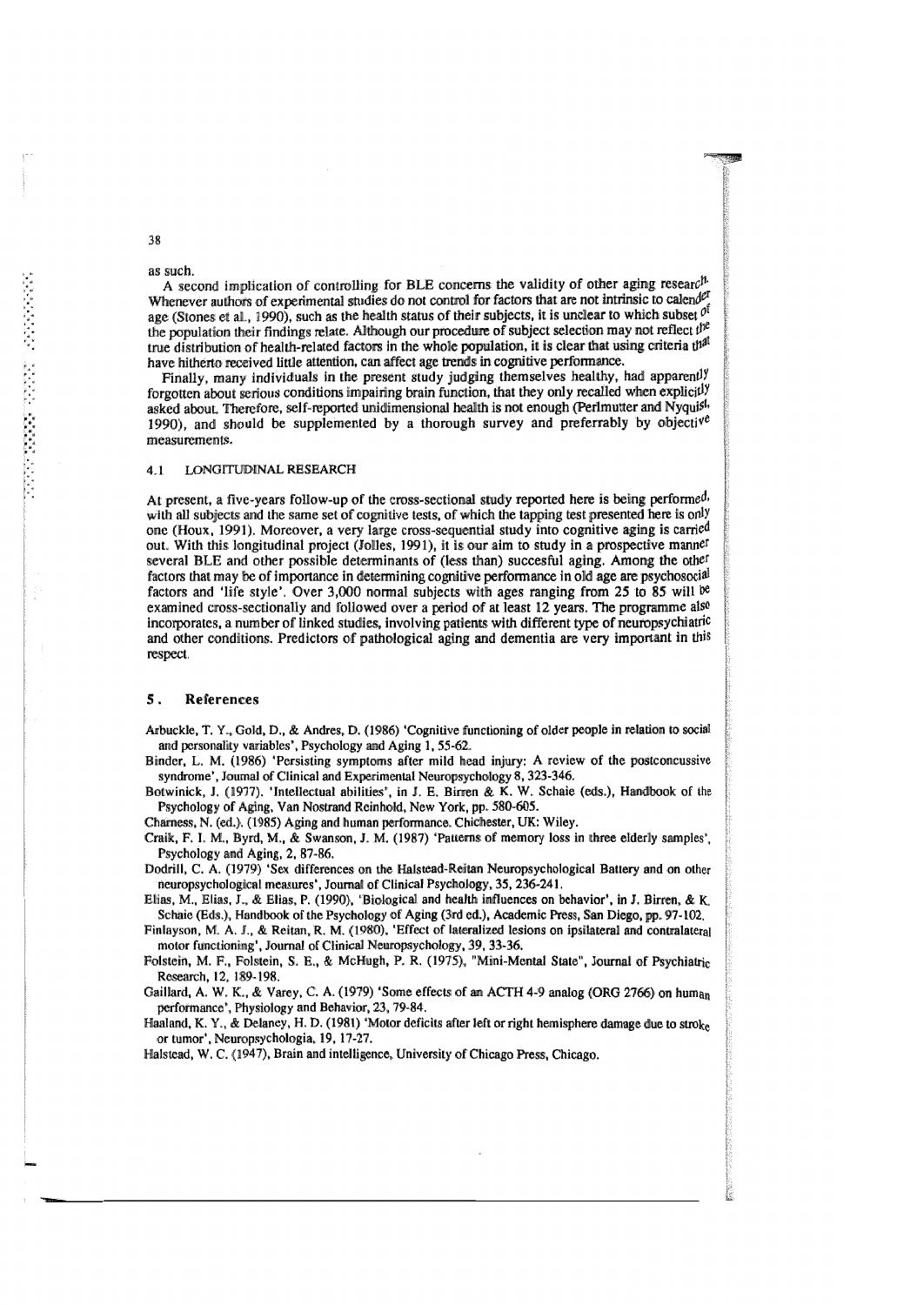as such.

A second implication of controlling for BLE concerns the validity of other aging research Whenever authors of experimental studies do not control for factors that are not intrinsic to calend<sup>er</sup> age (Stones et al., 1990), such as the health status of their subjects, it is unclear to which subset  $0^f$ the population their findings relate. Although our procedure of subject selection may not reflect the true distribution of health-related factors in the whole population, it is clear that using criteria that have hitherto received little attention, can affect age trends in cognitive performance.

Finally, many individuals in the present study judging themselves healthy, had apparently forgotten about serious conditions impairing brain function, that they only recalled when explicitly asked about. Therefore, self-reported unidimensional health is not enough (Perlmutter and Nyquist, 1990), and should be supplemented by a thorough survey and preferrably by objective measurements.

#### $4.1$ LONGITUDINAL RESEARCH

At present, a five-vears follow-up of the cross-sectional study reported here is being performed. with all subjects and the same set of cognitive tests, of which the tapping test presented here is only one (Houx, 1991). Moreover, a very large cross-sequential study into cognitive aging is carried out. With this longitudinal project (Jolles, 1991), it is our aim to study in a prospective manner several BLE and other possible determinants of (less than) succesful aging. Among the other factors that may be of importance in determining cognitive performance in old age are psychosocial factors and 'life style'. Over 3,000 normal subjects with ages ranging from 25 to 85 will be examined cross-sectionally and followed over a period of at least 12 years. The programme also incorporates, a number of linked studies, involving patients with different type of neuropsychiatric and other conditions. Predictors of pathological aging and dementia are very important in this respect.

#### 5. References

- Arbuckle, T. Y., Gold, D., & Andres, D. (1986) 'Cognitive functioning of older people in relation to social and personality variables', Psychology and Aging 1, 55-62.
- Binder, L. M. (1986) 'Persisting symptoms after mild head injury: A review of the postconcussive syndrome', Journal of Clinical and Experimental Neuropsychology 8, 323-346.
- Botwinick, J. (1977). 'Intellectual abilities', in J. E. Birren & K. W. Schaie (eds.), Handbook of the Psychology of Aging, Van Nostrand Reinhold, New York, pp. 580-605.
- Charness, N. (ed.). (1985) Aging and human performance. Chichester, UK: Wiley.
- Craik, F. I. M., Byrd, M., & Swanson, J. M. (1987) 'Patterns of memory loss in three elderly samples'. Psychology and Aging, 2, 87-86.
- Dodrill, C. A. (1979) 'Sex differences on the Halstead-Reitan Neuropsychological Battery and on other neuropsychological measures', Journal of Clinical Psychology, 35, 236-241.
- Elias, M., Elias, J., & Elias, P. (1990), 'Biological and health influences on behavior', in J. Birren, & K. Schaie (Eds.), Handbook of the Psychology of Aging (3rd ed.), Academic Press, San Diego, pp. 97-102.
- Finlayson, M. A. J., & Reitan, R. M. (1980), 'Effect of lateralized lesions on insilateral and contralateral motor functioning', Journal of Clinical Neuropsychology, 39, 33-36.
- Folstein, M. F., Folstein, S. E., & McHugh, P. R. (1975), "Mini-Mental State", Journal of Psychiatric Research, 12, 189-198.
- Gaillard, A. W. K., & Varey, C. A. (1979) 'Some effects of an ACTH 4-9 analog (ORG 2766) on human performance', Physiology and Behavior, 23, 79-84.
- Haaland, K. Y., & Delaney, H. D. (1981) 'Motor deficits after left or right hemisphere damage due to stroke or tumor', Neuropsychologia, 19, 17-27.
- Halstead, W. C. (1947), Brain and intelligence, University of Chicago Press, Chicago.